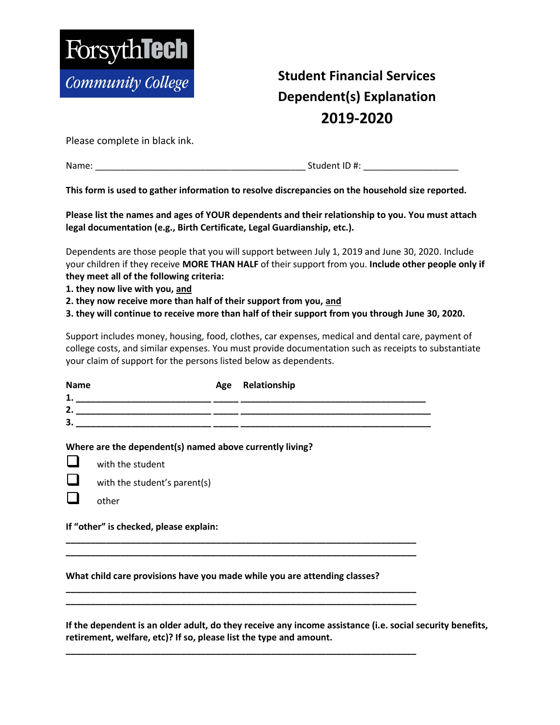

## **Student Financial Services Dependent(s) Explanation 2019-2020**

Please complete in black ink.

Name: et al. 2010 and 2011 and 2011 and 2012 and 2012 and 31 and 31 and 31 and 31 and 31 and 31 and 31 and 31 and 31 and 31 and 31 and 31 and 31 and 31 and 31 and 31 and 31 and 31 and 31 and 31 and 31 and 31 and 31 and 31

**This form is used to gather information to resolve discrepancies on the household size reported.** 

**Please list the names and ages of YOUR dependents and their relationship to you. You must attach legal documentation (e.g., Birth Certificate, Legal Guardianship, etc.).** 

Dependents are those people that you will support between July 1, 2019 and June 30, 2020. Include your children if they receive **MORE THAN HALF** of their support from you. **Include other people only if they meet all of the following criteria:** 

- **1. they now live with you, and**
- **2. they now receive more than half of their support from you, and**

**3. they will continue to receive more than half of their support from you through June 30, 2020.**

Support includes money, housing, food, clothes, car expenses, medical and dental care, payment of college costs, and similar expenses. You must provide documentation such as receipts to substantiate your claim of support for the persons listed below as dependents.

| <b>Name</b><br>1. | Age Relationship |
|-------------------|------------------|
| 2.                |                  |
|                   |                  |

## **Where are the dependent(s) named above currently living?**

- with the student
- with the student's parent(s)
- other

**If "other" is checked, please explain:** 

## **What child care provisions have you made while you are attending classes?**

**\_\_\_\_\_\_\_\_\_\_\_\_\_\_\_\_\_\_\_\_\_\_\_\_\_\_\_\_\_\_\_\_\_\_\_\_\_\_\_\_\_\_\_\_\_\_\_\_\_\_\_\_\_\_\_\_\_\_\_\_\_\_\_\_\_\_\_\_\_\_ \_\_\_\_\_\_\_\_\_\_\_\_\_\_\_\_\_\_\_\_\_\_\_\_\_\_\_\_\_\_\_\_\_\_\_\_\_\_\_\_\_\_\_\_\_\_\_\_\_\_\_\_\_\_\_\_\_\_\_\_\_\_\_\_\_\_\_\_\_\_** 

**\_\_\_\_\_\_\_\_\_\_\_\_\_\_\_\_\_\_\_\_\_\_\_\_\_\_\_\_\_\_\_\_\_\_\_\_\_\_\_\_\_\_\_\_\_\_\_\_\_\_\_\_\_\_\_\_\_\_\_\_\_\_\_\_\_\_\_\_\_\_ \_\_\_\_\_\_\_\_\_\_\_\_\_\_\_\_\_\_\_\_\_\_\_\_\_\_\_\_\_\_\_\_\_\_\_\_\_\_\_\_\_\_\_\_\_\_\_\_\_\_\_\_\_\_\_\_\_\_\_\_\_\_\_\_\_\_\_\_\_\_**

**\_\_\_\_\_\_\_\_\_\_\_\_\_\_\_\_\_\_\_\_\_\_\_\_\_\_\_\_\_\_\_\_\_\_\_\_\_\_\_\_\_\_\_\_\_\_\_\_\_\_\_\_\_\_\_\_\_\_\_\_\_\_\_\_\_\_\_\_\_\_** 

**If the dependent is an older adult, do they receive any income assistance (i.e. social security benefits, retirement, welfare, etc)? If so, please list the type and amount.**